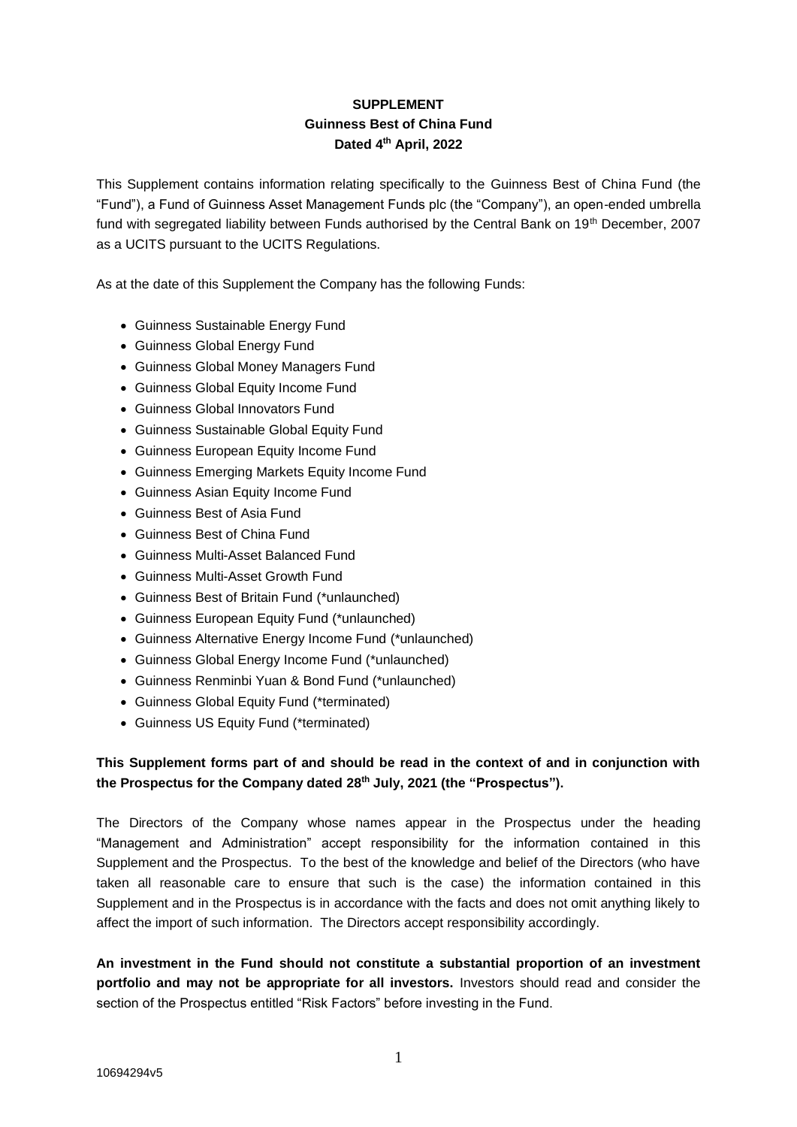# **SUPPLEMENT Guinness Best of China Fund Dated 4 th April, 2022**

This Supplement contains information relating specifically to the Guinness Best of China Fund (the "Fund"), a Fund of Guinness Asset Management Funds plc (the "Company"), an open-ended umbrella fund with segregated liability between Funds authorised by the Central Bank on 19<sup>th</sup> December, 2007 as a UCITS pursuant to the UCITS Regulations.

As at the date of this Supplement the Company has the following Funds:

- Guinness Sustainable Energy Fund
- Guinness Global Energy Fund
- Guinness Global Money Managers Fund
- Guinness Global Equity Income Fund
- Guinness Global Innovators Fund
- Guinness Sustainable Global Equity Fund
- Guinness European Equity Income Fund
- Guinness Emerging Markets Equity Income Fund
- Guinness Asian Equity Income Fund
- Guinness Best of Asia Fund
- Guinness Best of China Fund
- Guinness Multi-Asset Balanced Fund
- Guinness Multi-Asset Growth Fund
- Guinness Best of Britain Fund (\*unlaunched)
- Guinness European Equity Fund (\*unlaunched)
- Guinness Alternative Energy Income Fund (\*unlaunched)
- Guinness Global Energy Income Fund (\*unlaunched)
- Guinness Renminbi Yuan & Bond Fund (\*unlaunched)
- Guinness Global Equity Fund (\*terminated)
- Guinness US Equity Fund (\*terminated)

# **This Supplement forms part of and should be read in the context of and in conjunction with the Prospectus for the Company dated 28th July, 2021 (the "Prospectus").**

The Directors of the Company whose names appear in the Prospectus under the heading "Management and Administration" accept responsibility for the information contained in this Supplement and the Prospectus. To the best of the knowledge and belief of the Directors (who have taken all reasonable care to ensure that such is the case) the information contained in this Supplement and in the Prospectus is in accordance with the facts and does not omit anything likely to affect the import of such information. The Directors accept responsibility accordingly.

**An investment in the Fund should not constitute a substantial proportion of an investment portfolio and may not be appropriate for all investors.** Investors should read and consider the section of the Prospectus entitled "Risk Factors" before investing in the Fund.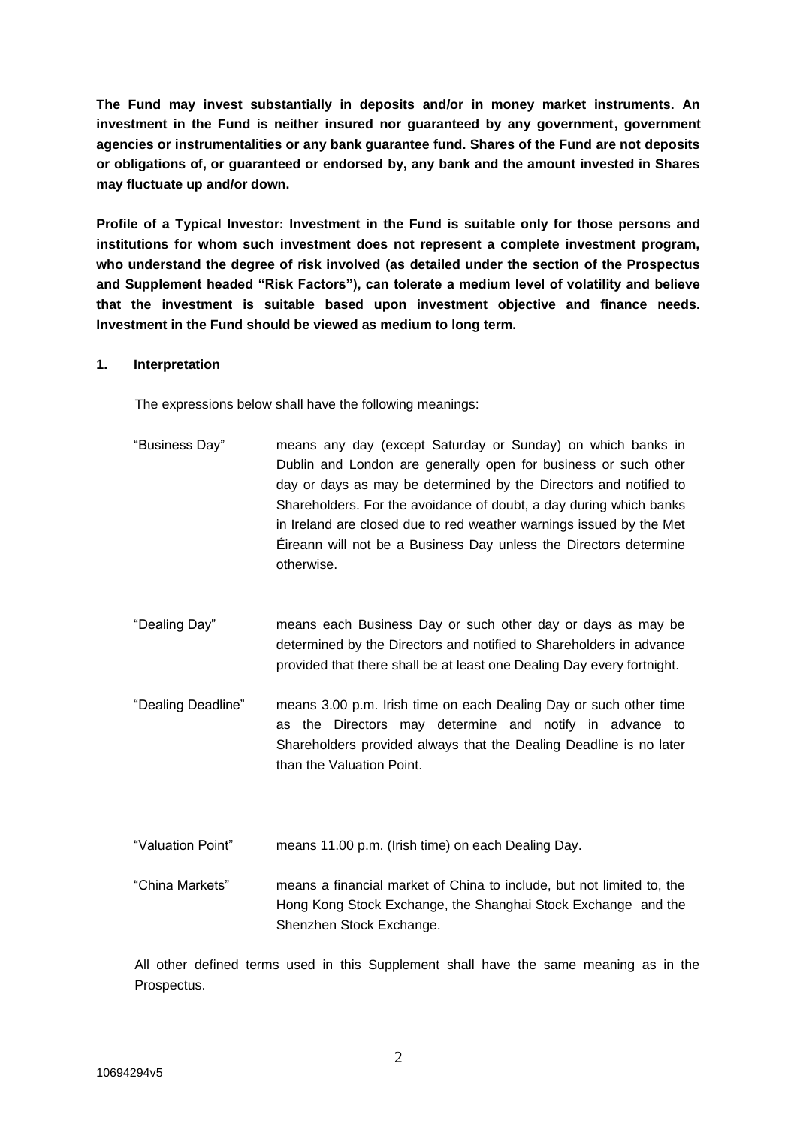**The Fund may invest substantially in deposits and/or in money market instruments. An investment in the Fund is neither insured nor guaranteed by any government, government agencies or instrumentalities or any bank guarantee fund. Shares of the Fund are not deposits or obligations of, or guaranteed or endorsed by, any bank and the amount invested in Shares may fluctuate up and/or down.**

**Profile of a Typical Investor: Investment in the Fund is suitable only for those persons and institutions for whom such investment does not represent a complete investment program, who understand the degree of risk involved (as detailed under the section of the Prospectus and Supplement headed "Risk Factors"), can tolerate a medium level of volatility and believe that the investment is suitable based upon investment objective and finance needs. Investment in the Fund should be viewed as medium to long term.** 

#### **1. Interpretation**

The expressions below shall have the following meanings:

- "Business Day" means any day (except Saturday or Sunday) on which banks in Dublin and London are generally open for business or such other day or days as may be determined by the Directors and notified to Shareholders. For the avoidance of doubt, a day during which banks in Ireland are closed due to red weather warnings issued by the Met Éireann will not be a Business Day unless the Directors determine otherwise.
- "Dealing Day" means each Business Day or such other day or days as may be determined by the Directors and notified to Shareholders in advance provided that there shall be at least one Dealing Day every fortnight.
- "Dealing Deadline" means 3.00 p.m. Irish time on each Dealing Day or such other time as the Directors may determine and notify in advance to Shareholders provided always that the Dealing Deadline is no later than the Valuation Point.
- "Valuation Point" means 11.00 p.m. (Irish time) on each Dealing Day.
- "China Markets" means a financial market of China to include, but not limited to, the Hong Kong Stock Exchange, the Shanghai Stock Exchange and the Shenzhen Stock Exchange.

All other defined terms used in this Supplement shall have the same meaning as in the Prospectus.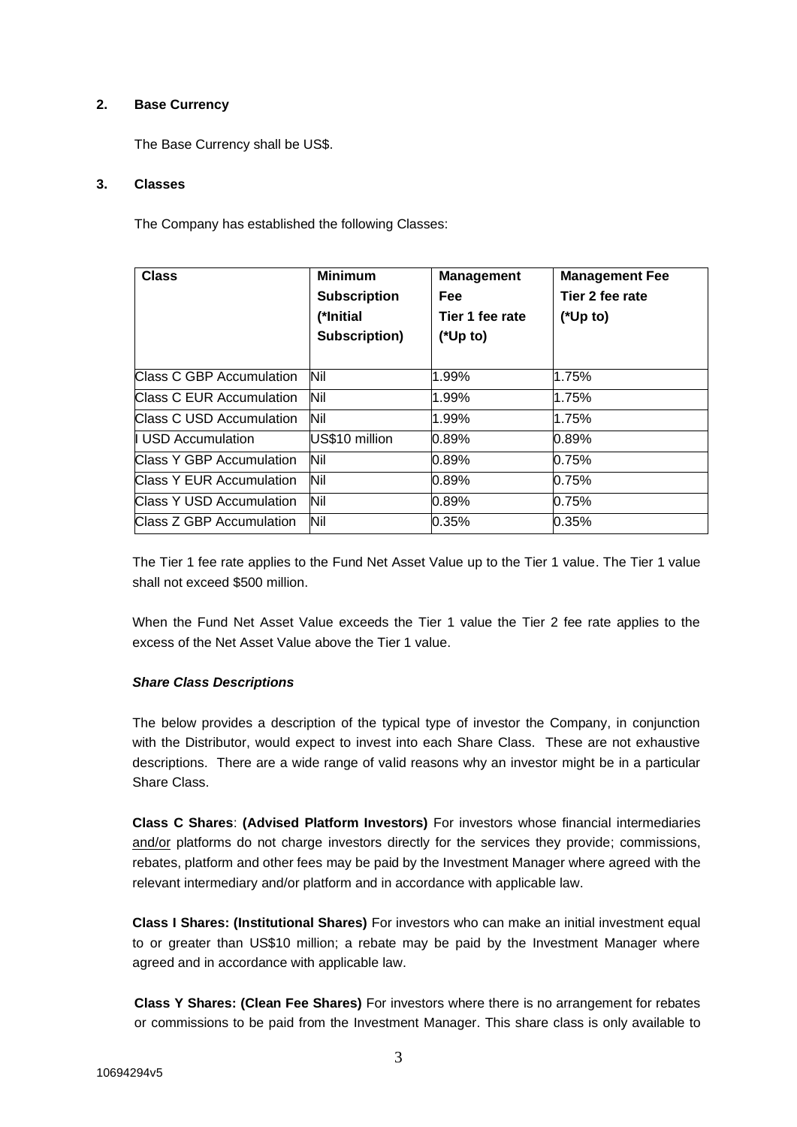## **2. Base Currency**

The Base Currency shall be US\$.

### **3. Classes**

The Company has established the following Classes:

| <b>Class</b>             | <b>Minimum</b><br><b>Subscription</b><br>(*Initial<br>Subscription) | <b>Management</b><br><b>Fee</b><br>Tier 1 fee rate<br>$(*Up to)$ | <b>Management Fee</b><br>Tier 2 fee rate<br>$(*Up to)$ |
|--------------------------|---------------------------------------------------------------------|------------------------------------------------------------------|--------------------------------------------------------|
| Class C GBP Accumulation | Nil                                                                 | 1.99%                                                            | 1.75%                                                  |
| Class C EUR Accumulation | Nil                                                                 | 1.99%                                                            | 1.75%                                                  |
| Class C USD Accumulation | Nil                                                                 | 1.99%                                                            | 1.75%                                                  |
| <b>USD Accumulation</b>  | US\$10 million                                                      | 0.89%                                                            | 0.89%                                                  |
| Class Y GBP Accumulation | Nil                                                                 | 0.89%                                                            | 0.75%                                                  |
| Class Y EUR Accumulation | Nil                                                                 | 0.89%                                                            | 0.75%                                                  |
| Class Y USD Accumulation | Nil                                                                 | 0.89%                                                            | 0.75%                                                  |
| Class Z GBP Accumulation | Nil                                                                 | 0.35%                                                            | 0.35%                                                  |

The Tier 1 fee rate applies to the Fund Net Asset Value up to the Tier 1 value. The Tier 1 value shall not exceed \$500 million.

When the Fund Net Asset Value exceeds the Tier 1 value the Tier 2 fee rate applies to the excess of the Net Asset Value above the Tier 1 value.

#### *Share Class Descriptions*

The below provides a description of the typical type of investor the Company, in conjunction with the Distributor, would expect to invest into each Share Class. These are not exhaustive descriptions. There are a wide range of valid reasons why an investor might be in a particular Share Class.

**Class C Shares**: **(Advised Platform Investors)** For investors whose financial intermediaries and/or platforms do not charge investors directly for the services they provide; commissions, rebates, platform and other fees may be paid by the Investment Manager where agreed with the relevant intermediary and/or platform and in accordance with applicable law.

**Class I Shares: (Institutional Shares)** For investors who can make an initial investment equal to or greater than US\$10 million; a rebate may be paid by the Investment Manager where agreed and in accordance with applicable law.

**Class Y Shares: (Clean Fee Shares)** For investors where there is no arrangement for rebates or commissions to be paid from the Investment Manager. This share class is only available to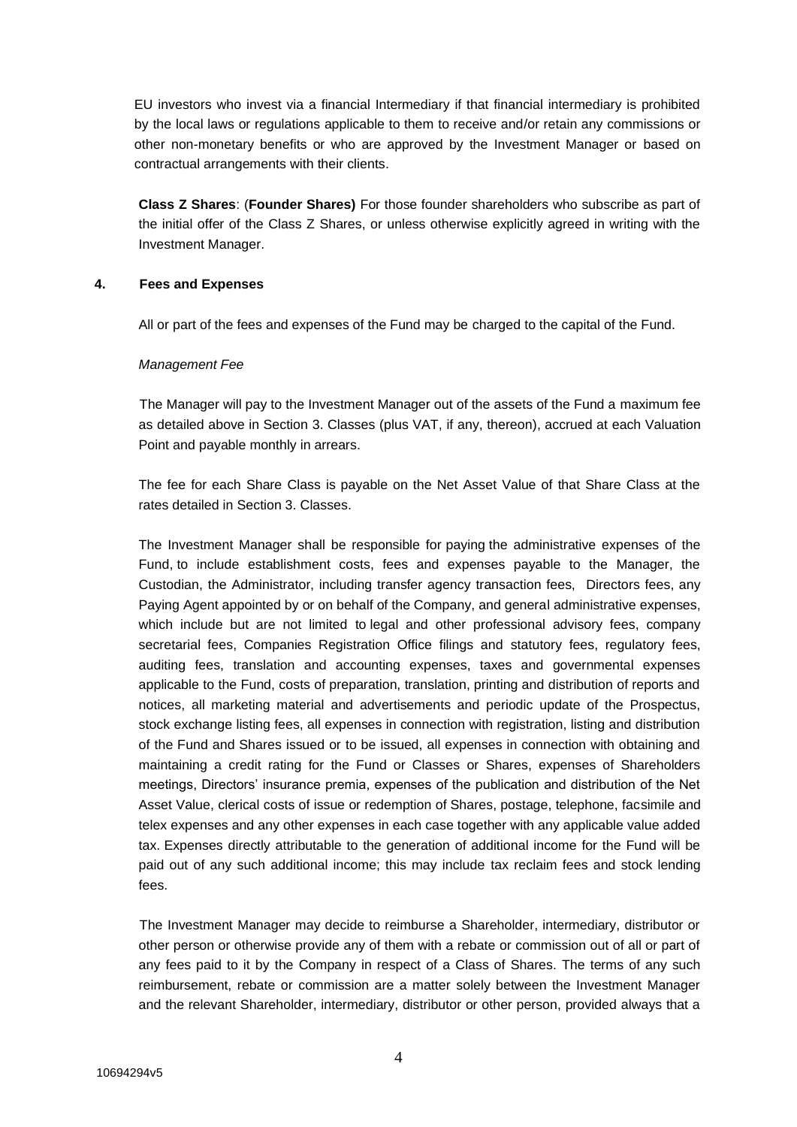EU investors who invest via a financial Intermediary if that financial intermediary is prohibited by the local laws or regulations applicable to them to receive and/or retain any commissions or other non-monetary benefits or who are approved by the Investment Manager or based on contractual arrangements with their clients.

**Class Z Shares**: (**Founder Shares)** For those founder shareholders who subscribe as part of the initial offer of the Class Z Shares, or unless otherwise explicitly agreed in writing with the Investment Manager.

#### **4. Fees and Expenses**

All or part of the fees and expenses of the Fund may be charged to the capital of the Fund.

## *Management Fee*

The Manager will pay to the Investment Manager out of the assets of the Fund a maximum fee as detailed above in Section 3. Classes (plus VAT, if any, thereon), accrued at each Valuation Point and payable monthly in arrears.

The fee for each Share Class is payable on the Net Asset Value of that Share Class at the rates detailed in Section 3. Classes.

The Investment Manager shall be responsible for paying the administrative expenses of the Fund, to include establishment costs, fees and expenses payable to the Manager, the Custodian, the Administrator, including transfer agency transaction fees, Directors fees, any Paying Agent appointed by or on behalf of the Company, and general administrative expenses, which include but are not limited to legal and other professional advisory fees, company secretarial fees, Companies Registration Office filings and statutory fees, regulatory fees, auditing fees, translation and accounting expenses, taxes and governmental expenses applicable to the Fund, costs of preparation, translation, printing and distribution of reports and notices, all marketing material and advertisements and periodic update of the Prospectus, stock exchange listing fees, all expenses in connection with registration, listing and distribution of the Fund and Shares issued or to be issued, all expenses in connection with obtaining and maintaining a credit rating for the Fund or Classes or Shares, expenses of Shareholders meetings, Directors' insurance premia, expenses of the publication and distribution of the Net Asset Value, clerical costs of issue or redemption of Shares, postage, telephone, facsimile and telex expenses and any other expenses in each case together with any applicable value added tax. Expenses directly attributable to the generation of additional income for the Fund will be paid out of any such additional income; this may include tax reclaim fees and stock lending fees.

The Investment Manager may decide to reimburse a Shareholder, intermediary, distributor or other person or otherwise provide any of them with a rebate or commission out of all or part of any fees paid to it by the Company in respect of a Class of Shares. The terms of any such reimbursement, rebate or commission are a matter solely between the Investment Manager and the relevant Shareholder, intermediary, distributor or other person, provided always that a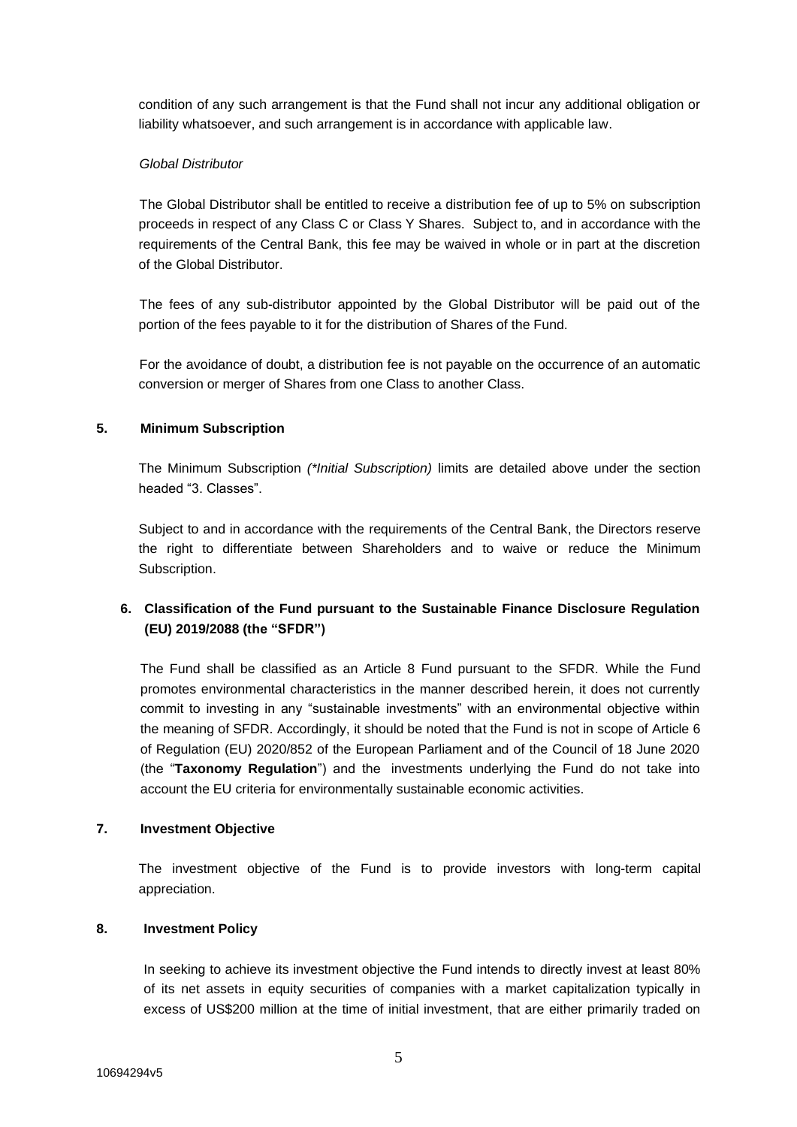condition of any such arrangement is that the Fund shall not incur any additional obligation or liability whatsoever, and such arrangement is in accordance with applicable law.

#### *Global Distributor*

The Global Distributor shall be entitled to receive a distribution fee of up to 5% on subscription proceeds in respect of any Class C or Class Y Shares. Subject to, and in accordance with the requirements of the Central Bank, this fee may be waived in whole or in part at the discretion of the Global Distributor.

The fees of any sub-distributor appointed by the Global Distributor will be paid out of the portion of the fees payable to it for the distribution of Shares of the Fund.

For the avoidance of doubt, a distribution fee is not payable on the occurrence of an automatic conversion or merger of Shares from one Class to another Class.

# **5. Minimum Subscription**

The Minimum Subscription *(\*Initial Subscription)* limits are detailed above under the section headed "3. Classes".

Subject to and in accordance with the requirements of the Central Bank, the Directors reserve the right to differentiate between Shareholders and to waive or reduce the Minimum Subscription.

# **6. Classification of the Fund pursuant to the Sustainable Finance Disclosure Regulation (EU) 2019/2088 (the "SFDR")**

The Fund shall be classified as an Article 8 Fund pursuant to the SFDR. While the Fund promotes environmental characteristics in the manner described herein, it does not currently commit to investing in any "sustainable investments" with an environmental objective within the meaning of SFDR. Accordingly, it should be noted that the Fund is not in scope of Article 6 of Regulation (EU) 2020/852 of the European Parliament and of the Council of 18 June 2020 (the "**Taxonomy Regulation**") and the investments underlying the Fund do not take into account the EU criteria for environmentally sustainable economic activities.

### **7. Investment Objective**

The investment objective of the Fund is to provide investors with long-term capital appreciation.

# **8. Investment Policy**

In seeking to achieve its investment objective the Fund intends to directly invest at least 80% of its net assets in equity securities of companies with a market capitalization typically in excess of US\$200 million at the time of initial investment, that are either primarily traded on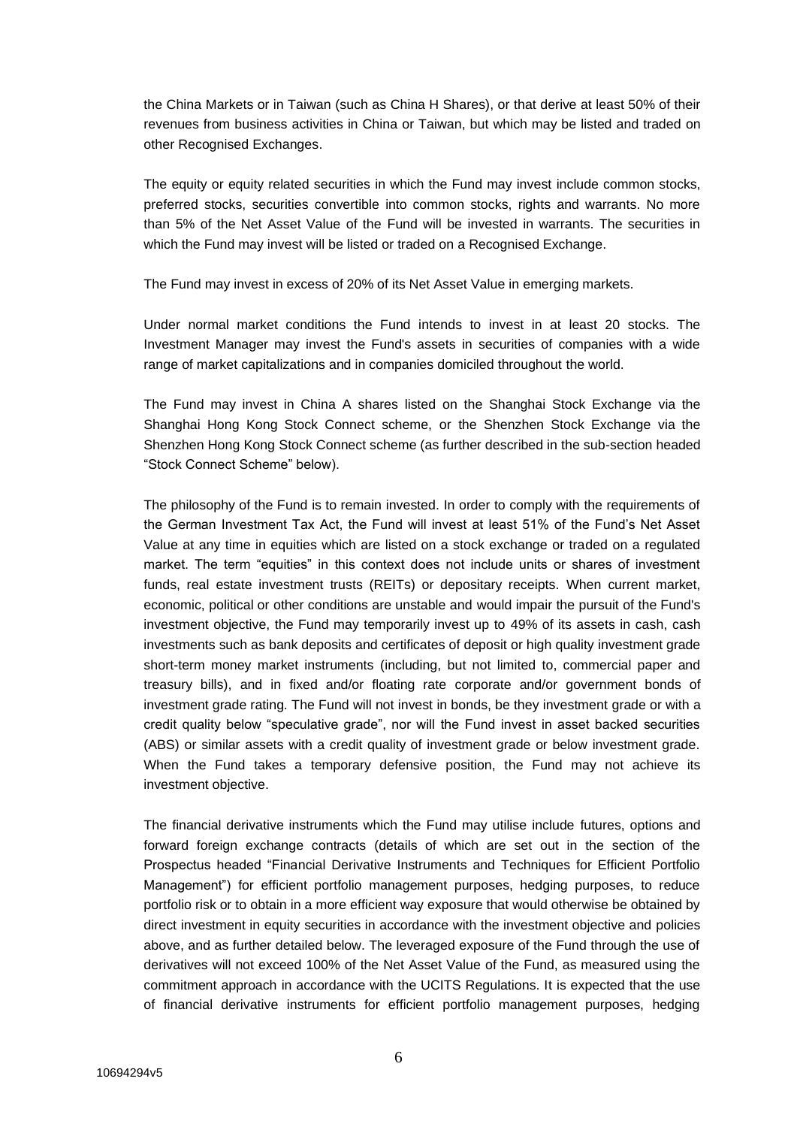the China Markets or in Taiwan (such as China H Shares), or that derive at least 50% of their revenues from business activities in China or Taiwan, but which may be listed and traded on other Recognised Exchanges.

The equity or equity related securities in which the Fund may invest include common stocks, preferred stocks, securities convertible into common stocks, rights and warrants. No more than 5% of the Net Asset Value of the Fund will be invested in warrants. The securities in which the Fund may invest will be listed or traded on a Recognised Exchange.

The Fund may invest in excess of 20% of its Net Asset Value in emerging markets.

Under normal market conditions the Fund intends to invest in at least 20 stocks. The Investment Manager may invest the Fund's assets in securities of companies with a wide range of market capitalizations and in companies domiciled throughout the world.

The Fund may invest in China A shares listed on the Shanghai Stock Exchange via the Shanghai Hong Kong Stock Connect scheme, or the Shenzhen Stock Exchange via the Shenzhen Hong Kong Stock Connect scheme (as further described in the sub-section headed "Stock Connect Scheme" below).

The philosophy of the Fund is to remain invested. In order to comply with the requirements of the German Investment Tax Act, the Fund will invest at least 51% of the Fund's Net Asset Value at any time in equities which are listed on a stock exchange or traded on a regulated market. The term "equities" in this context does not include units or shares of investment funds, real estate investment trusts (REITs) or depositary receipts. When current market, economic, political or other conditions are unstable and would impair the pursuit of the Fund's investment objective, the Fund may temporarily invest up to 49% of its assets in cash, cash investments such as bank deposits and certificates of deposit or high quality investment grade short-term money market instruments (including, but not limited to, commercial paper and treasury bills), and in fixed and/or floating rate corporate and/or government bonds of investment grade rating. The Fund will not invest in bonds, be they investment grade or with a credit quality below "speculative grade", nor will the Fund invest in asset backed securities (ABS) or similar assets with a credit quality of investment grade or below investment grade. When the Fund takes a temporary defensive position, the Fund may not achieve its investment objective.

The financial derivative instruments which the Fund may utilise include futures, options and forward foreign exchange contracts (details of which are set out in the section of the Prospectus headed "Financial Derivative Instruments and Techniques for Efficient Portfolio Management") for efficient portfolio management purposes, hedging purposes, to reduce portfolio risk or to obtain in a more efficient way exposure that would otherwise be obtained by direct investment in equity securities in accordance with the investment objective and policies above, and as further detailed below. The leveraged exposure of the Fund through the use of derivatives will not exceed 100% of the Net Asset Value of the Fund, as measured using the commitment approach in accordance with the UCITS Regulations. It is expected that the use of financial derivative instruments for efficient portfolio management purposes, hedging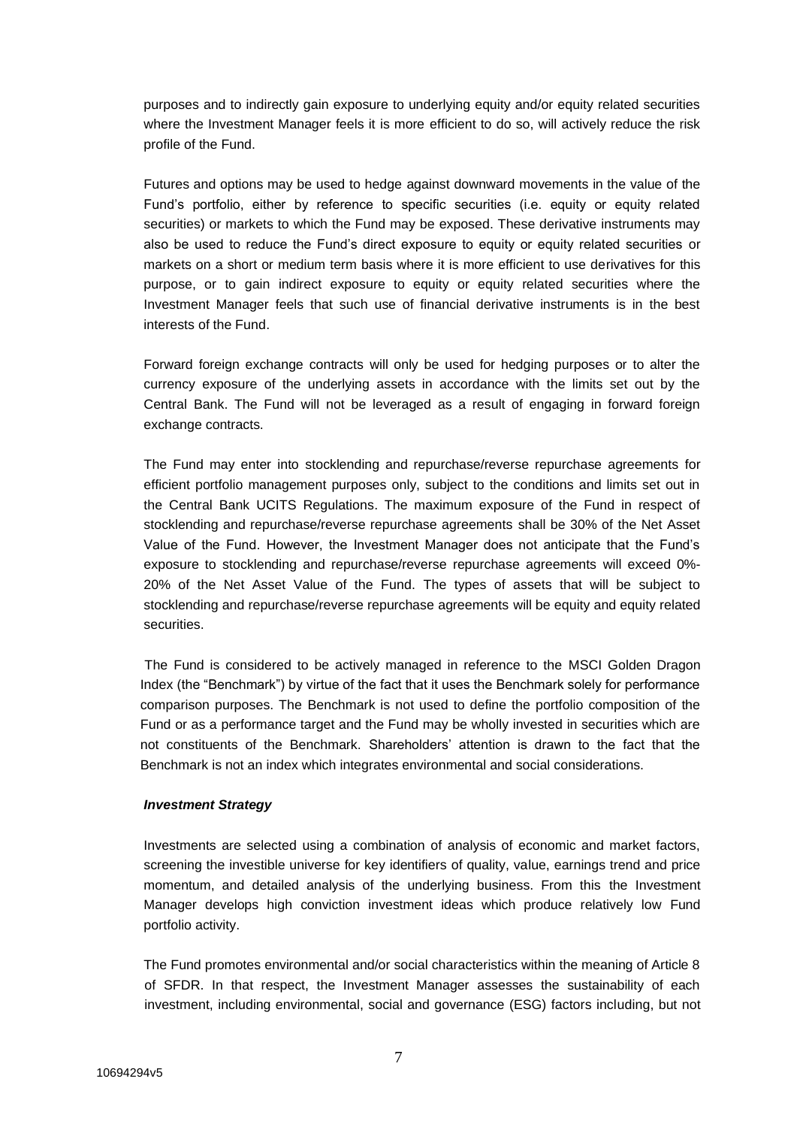purposes and to indirectly gain exposure to underlying equity and/or equity related securities where the Investment Manager feels it is more efficient to do so, will actively reduce the risk profile of the Fund.

Futures and options may be used to hedge against downward movements in the value of the Fund's portfolio, either by reference to specific securities (i.e. equity or equity related securities) or markets to which the Fund may be exposed. These derivative instruments may also be used to reduce the Fund's direct exposure to equity or equity related securities or markets on a short or medium term basis where it is more efficient to use derivatives for this purpose, or to gain indirect exposure to equity or equity related securities where the Investment Manager feels that such use of financial derivative instruments is in the best interests of the Fund.

Forward foreign exchange contracts will only be used for hedging purposes or to alter the currency exposure of the underlying assets in accordance with the limits set out by the Central Bank. The Fund will not be leveraged as a result of engaging in forward foreign exchange contracts.

The Fund may enter into stocklending and repurchase/reverse repurchase agreements for efficient portfolio management purposes only, subject to the conditions and limits set out in the Central Bank UCITS Regulations. The maximum exposure of the Fund in respect of stocklending and repurchase/reverse repurchase agreements shall be 30% of the Net Asset Value of the Fund. However, the Investment Manager does not anticipate that the Fund's exposure to stocklending and repurchase/reverse repurchase agreements will exceed 0%- 20% of the Net Asset Value of the Fund. The types of assets that will be subject to stocklending and repurchase/reverse repurchase agreements will be equity and equity related securities.

The Fund is considered to be actively managed in reference to the MSCI Golden Dragon Index (the "Benchmark") by virtue of the fact that it uses the Benchmark solely for performance comparison purposes. The Benchmark is not used to define the portfolio composition of the Fund or as a performance target and the Fund may be wholly invested in securities which are not constituents of the Benchmark. Shareholders' attention is drawn to the fact that the Benchmark is not an index which integrates environmental and social considerations.

#### *Investment Strategy*

Investments are selected using a combination of analysis of economic and market factors, screening the investible universe for key identifiers of quality, value, earnings trend and price momentum, and detailed analysis of the underlying business. From this the Investment Manager develops high conviction investment ideas which produce relatively low Fund portfolio activity.

The Fund promotes environmental and/or social characteristics within the meaning of Article 8 of SFDR. In that respect, the Investment Manager assesses the sustainability of each investment, including environmental, social and governance (ESG) factors including, but not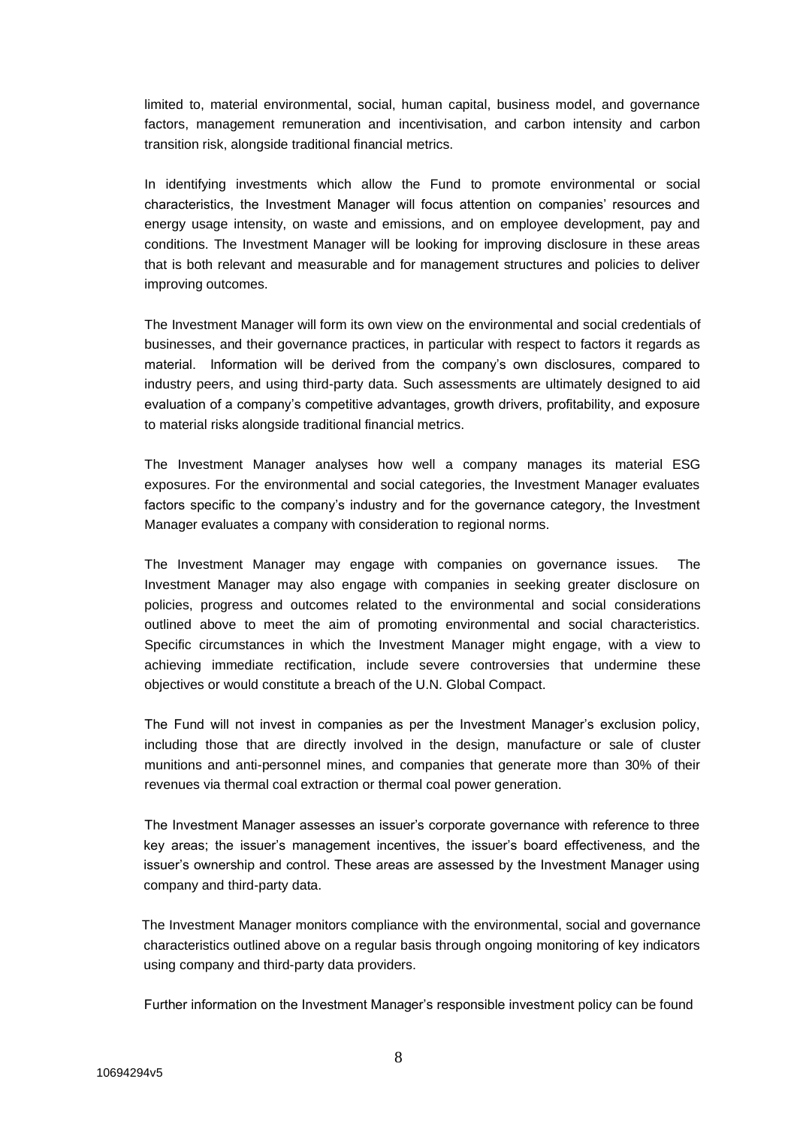limited to, material environmental, social, human capital, business model, and governance factors, management remuneration and incentivisation, and carbon intensity and carbon transition risk, alongside traditional financial metrics.

In identifying investments which allow the Fund to promote environmental or social characteristics, the Investment Manager will focus attention on companies' resources and energy usage intensity, on waste and emissions, and on employee development, pay and conditions. The Investment Manager will be looking for improving disclosure in these areas that is both relevant and measurable and for management structures and policies to deliver improving outcomes.

The Investment Manager will form its own view on the environmental and social credentials of businesses, and their governance practices, in particular with respect to factors it regards as material. Information will be derived from the company's own disclosures, compared to industry peers, and using third-party data. Such assessments are ultimately designed to aid evaluation of a company's competitive advantages, growth drivers, profitability, and exposure to material risks alongside traditional financial metrics.

The Investment Manager analyses how well a company manages its material ESG exposures. For the environmental and social categories, the Investment Manager evaluates factors specific to the company's industry and for the governance category, the Investment Manager evaluates a company with consideration to regional norms.

The Investment Manager may engage with companies on governance issues. The Investment Manager may also engage with companies in seeking greater disclosure on policies, progress and outcomes related to the environmental and social considerations outlined above to meet the aim of promoting environmental and social characteristics. Specific circumstances in which the Investment Manager might engage, with a view to achieving immediate rectification, include severe controversies that undermine these objectives or would constitute a breach of the U.N. Global Compact.

The Fund will not invest in companies as per the Investment Manager's exclusion policy, including those that are directly involved in the design, manufacture or sale of cluster munitions and anti-personnel mines, and companies that generate more than 30% of their revenues via thermal coal extraction or thermal coal power generation.

The Investment Manager assesses an issuer's corporate governance with reference to three key areas; the issuer's management incentives, the issuer's board effectiveness, and the issuer's ownership and control. These areas are assessed by the Investment Manager using company and third-party data.

 The Investment Manager monitors compliance with the environmental, social and governance characteristics outlined above on a regular basis through ongoing monitoring of key indicators using company and third-party data providers.

Further information on the Investment Manager's responsible investment policy can be found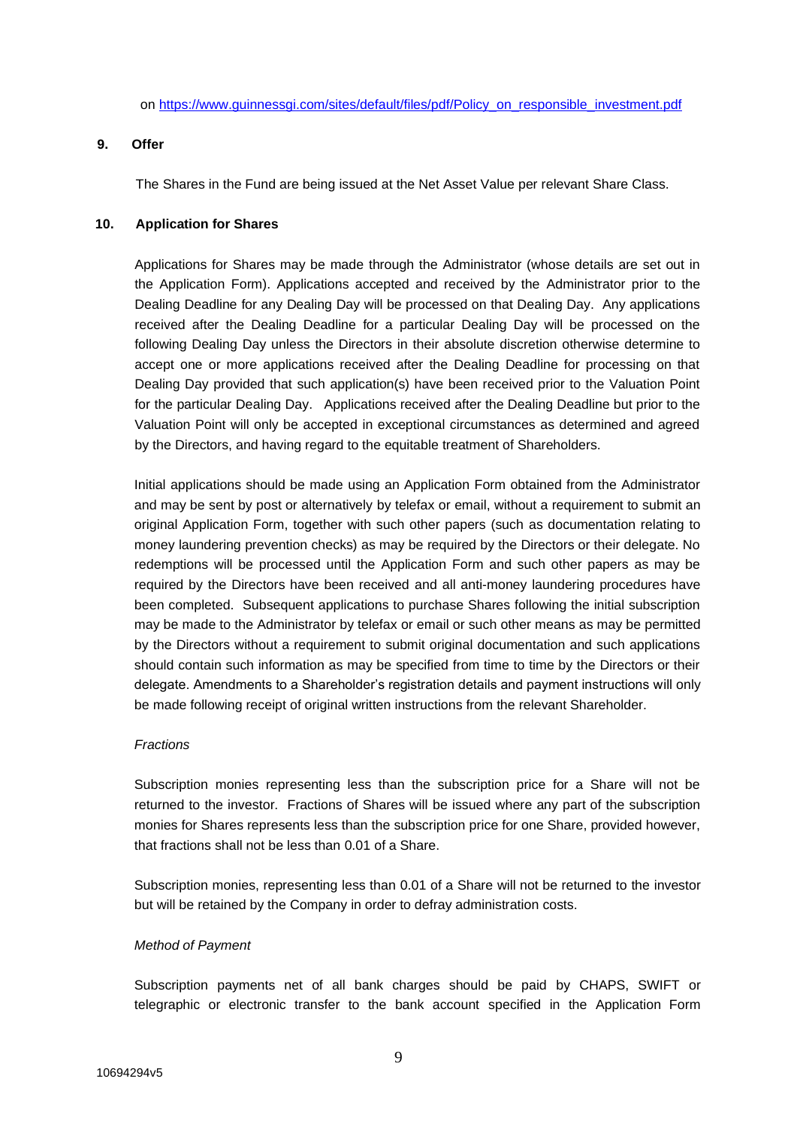on [https://www.guinnessgi.com/sites/default/files/pdf/Policy\\_on\\_responsible\\_investment.pdf](https://www.guinnessgi.com/sites/default/files/pdf/Policy_on_responsible_investment.pdf)

### **9. Offer**

The Shares in the Fund are being issued at the Net Asset Value per relevant Share Class.

## **10. Application for Shares**

Applications for Shares may be made through the Administrator (whose details are set out in the Application Form). Applications accepted and received by the Administrator prior to the Dealing Deadline for any Dealing Day will be processed on that Dealing Day. Any applications received after the Dealing Deadline for a particular Dealing Day will be processed on the following Dealing Day unless the Directors in their absolute discretion otherwise determine to accept one or more applications received after the Dealing Deadline for processing on that Dealing Day provided that such application(s) have been received prior to the Valuation Point for the particular Dealing Day. Applications received after the Dealing Deadline but prior to the Valuation Point will only be accepted in exceptional circumstances as determined and agreed by the Directors, and having regard to the equitable treatment of Shareholders.

Initial applications should be made using an Application Form obtained from the Administrator and may be sent by post or alternatively by telefax or email, without a requirement to submit an original Application Form, together with such other papers (such as documentation relating to money laundering prevention checks) as may be required by the Directors or their delegate. No redemptions will be processed until the Application Form and such other papers as may be required by the Directors have been received and all anti-money laundering procedures have been completed. Subsequent applications to purchase Shares following the initial subscription may be made to the Administrator by telefax or email or such other means as may be permitted by the Directors without a requirement to submit original documentation and such applications should contain such information as may be specified from time to time by the Directors or their delegate. Amendments to a Shareholder's registration details and payment instructions will only be made following receipt of original written instructions from the relevant Shareholder.

# *Fractions*

Subscription monies representing less than the subscription price for a Share will not be returned to the investor. Fractions of Shares will be issued where any part of the subscription monies for Shares represents less than the subscription price for one Share, provided however, that fractions shall not be less than 0.01 of a Share.

Subscription monies, representing less than 0.01 of a Share will not be returned to the investor but will be retained by the Company in order to defray administration costs.

#### *Method of Payment*

Subscription payments net of all bank charges should be paid by CHAPS, SWIFT or telegraphic or electronic transfer to the bank account specified in the Application Form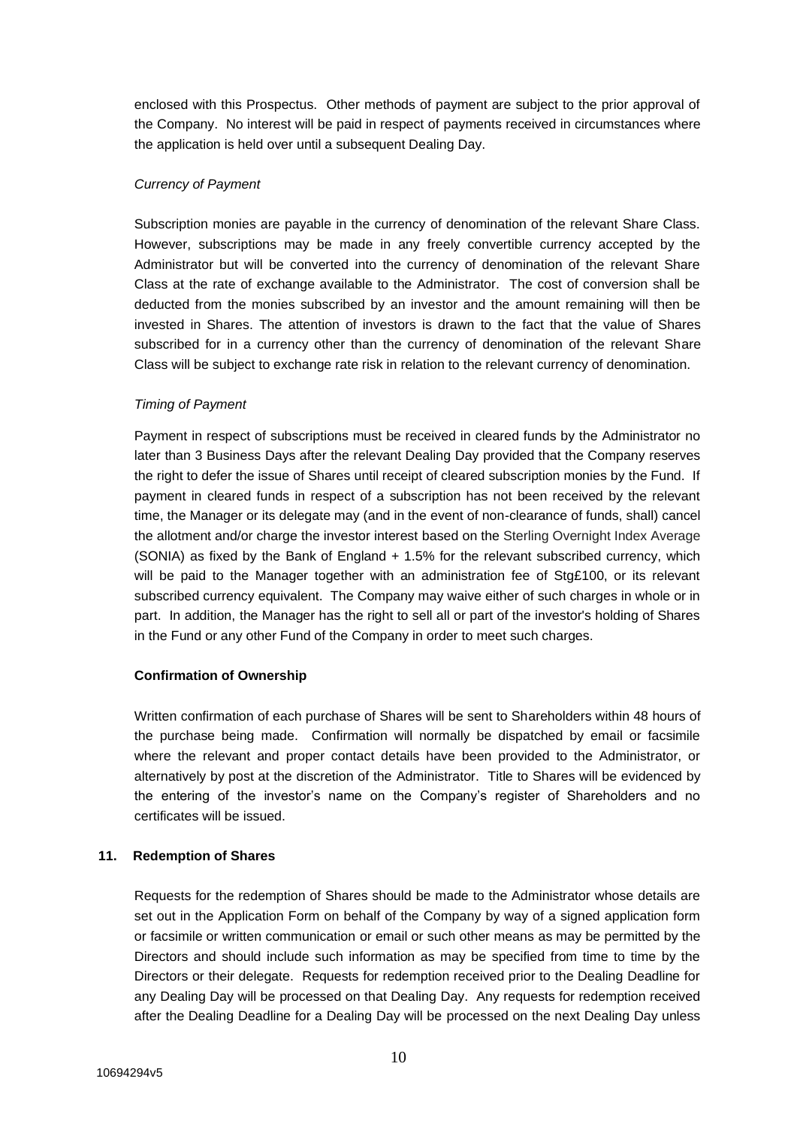enclosed with this Prospectus. Other methods of payment are subject to the prior approval of the Company. No interest will be paid in respect of payments received in circumstances where the application is held over until a subsequent Dealing Day.

## *Currency of Payment*

Subscription monies are payable in the currency of denomination of the relevant Share Class. However, subscriptions may be made in any freely convertible currency accepted by the Administrator but will be converted into the currency of denomination of the relevant Share Class at the rate of exchange available to the Administrator. The cost of conversion shall be deducted from the monies subscribed by an investor and the amount remaining will then be invested in Shares. The attention of investors is drawn to the fact that the value of Shares subscribed for in a currency other than the currency of denomination of the relevant Share Class will be subject to exchange rate risk in relation to the relevant currency of denomination.

## *Timing of Payment*

Payment in respect of subscriptions must be received in cleared funds by the Administrator no later than 3 Business Days after the relevant Dealing Day provided that the Company reserves the right to defer the issue of Shares until receipt of cleared subscription monies by the Fund. If payment in cleared funds in respect of a subscription has not been received by the relevant time, the Manager or its delegate may (and in the event of non-clearance of funds, shall) cancel the allotment and/or charge the investor interest based on the Sterling Overnight Index Average (SONIA) as fixed by the Bank of England + 1.5% for the relevant subscribed currency, which will be paid to the Manager together with an administration fee of Stg£100, or its relevant subscribed currency equivalent. The Company may waive either of such charges in whole or in part. In addition, the Manager has the right to sell all or part of the investor's holding of Shares in the Fund or any other Fund of the Company in order to meet such charges.

# **Confirmation of Ownership**

Written confirmation of each purchase of Shares will be sent to Shareholders within 48 hours of the purchase being made. Confirmation will normally be dispatched by email or facsimile where the relevant and proper contact details have been provided to the Administrator, or alternatively by post at the discretion of the Administrator. Title to Shares will be evidenced by the entering of the investor's name on the Company's register of Shareholders and no certificates will be issued.

#### **11. Redemption of Shares**

Requests for the redemption of Shares should be made to the Administrator whose details are set out in the Application Form on behalf of the Company by way of a signed application form or facsimile or written communication or email or such other means as may be permitted by the Directors and should include such information as may be specified from time to time by the Directors or their delegate. Requests for redemption received prior to the Dealing Deadline for any Dealing Day will be processed on that Dealing Day. Any requests for redemption received after the Dealing Deadline for a Dealing Day will be processed on the next Dealing Day unless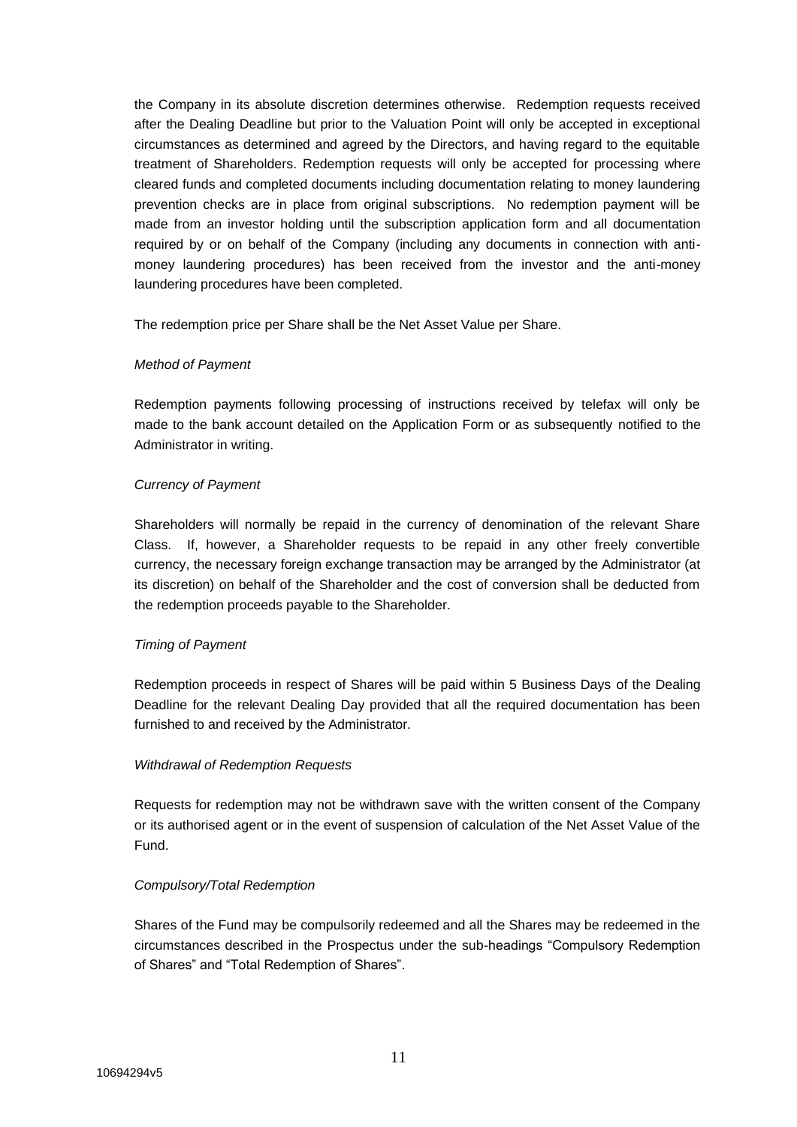the Company in its absolute discretion determines otherwise. Redemption requests received after the Dealing Deadline but prior to the Valuation Point will only be accepted in exceptional circumstances as determined and agreed by the Directors, and having regard to the equitable treatment of Shareholders. Redemption requests will only be accepted for processing where cleared funds and completed documents including documentation relating to money laundering prevention checks are in place from original subscriptions. No redemption payment will be made from an investor holding until the subscription application form and all documentation required by or on behalf of the Company (including any documents in connection with antimoney laundering procedures) has been received from the investor and the anti-money laundering procedures have been completed.

The redemption price per Share shall be the Net Asset Value per Share.

# *Method of Payment*

Redemption payments following processing of instructions received by telefax will only be made to the bank account detailed on the Application Form or as subsequently notified to the Administrator in writing.

# *Currency of Payment*

Shareholders will normally be repaid in the currency of denomination of the relevant Share Class. If, however, a Shareholder requests to be repaid in any other freely convertible currency, the necessary foreign exchange transaction may be arranged by the Administrator (at its discretion) on behalf of the Shareholder and the cost of conversion shall be deducted from the redemption proceeds payable to the Shareholder.

# *Timing of Payment*

Redemption proceeds in respect of Shares will be paid within 5 Business Days of the Dealing Deadline for the relevant Dealing Day provided that all the required documentation has been furnished to and received by the Administrator.

# *Withdrawal of Redemption Requests*

Requests for redemption may not be withdrawn save with the written consent of the Company or its authorised agent or in the event of suspension of calculation of the Net Asset Value of the Fund.

# *Compulsory/Total Redemption*

Shares of the Fund may be compulsorily redeemed and all the Shares may be redeemed in the circumstances described in the Prospectus under the sub-headings "Compulsory Redemption of Shares" and "Total Redemption of Shares".